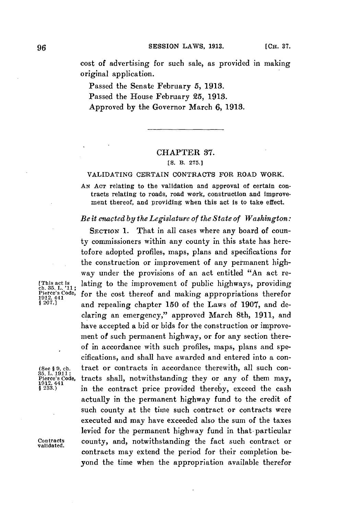cost of advertising for such sale, as provided in making original application.

Passed the Senate February **5, 1913.** Passed the House February **25, 1913.** Approved **by** the Governor March **6, 1913.**

## CHAPTER **37.**

## **[S.** B. **275.]**

## VALIDATING CERTAIN **CONTRACTS** FOR ROAD WORK.

**AN AcT** relating to the validation and approval of certain contracts relating to roads, road work, construction and improvement thereof, and providing when this act is to take effect.

## *Be it enacted by the Legislature of the State of Washington:*

SECTION 1. That in all cases where any board of county commissioners within any county in this state has heretofore adopted profiles, maps, plans and specifications for the construction or improvement of any permanent highway under the provisions of an act entitled "An act re- [This act is ch. 35. L. '11; lating to the improvement of public highways, providing  $P^{\text{there's Code}}_{1012.441}$  for the cost thereof and making appropriations therefor  $\frac{1912.441}{207.1}$  and repealing chapter 150 of the Laws for the cost thereof and making appropriations therefor and repealing chapter 150 of the Laws of 1907, and declaring an emergency," approved March 8th, **1911,** and have accepted a bid or bids for the construction or improvement of such permanent highway, or for any section thereof in accordance with such profiles, maps, plans and specifications, and shall have awarded and entered into a con- (See § 9, ch. tract or contracts in accordance therewith, all such con-<br>35, L. 1911;<br>Pierce's Code, tracts shall, notwithstanding they or any of them may,<br>1912. 441 in the contract price provided thereby, exceed the cash actually in the permanent highway fund to the credit of such county at the time such contract or contracts were executed and may have exceeded also the sum of the taxes levied for the permanent highway fund in that- particular Contracts county, and, notwithstanding the fact such contract or validated. contracts may extend the period for their completion beyond the time when the appropriation available therefor